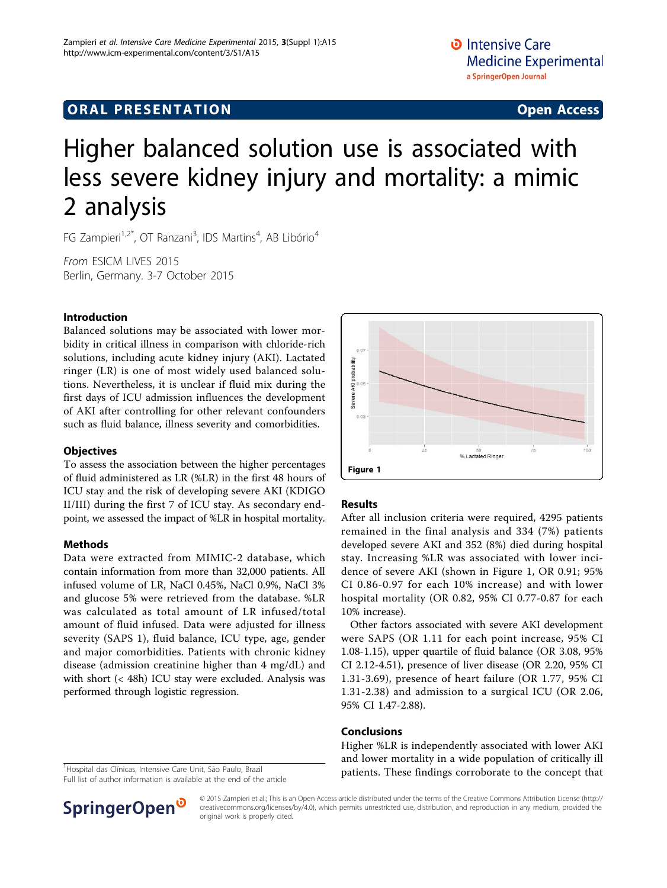## **ORAL PRESENTATION CONSUMING ACCESS**

# Higher balanced solution use is associated with less severe kidney injury and mortality: a mimic 2 analysis

FG Zampieri<sup>1,2\*</sup>, OT Ranzani<sup>3</sup>, IDS Martins<sup>4</sup>, AB Libório<sup>4</sup>

From ESICM LIVES 2015 Berlin, Germany. 3-7 October 2015

#### Introduction

Balanced solutions may be associated with lower morbidity in critical illness in comparison with chloride-rich solutions, including acute kidney injury (AKI). Lactated ringer (LR) is one of most widely used balanced solutions. Nevertheless, it is unclear if fluid mix during the first days of ICU admission influences the development of AKI after controlling for other relevant confounders such as fluid balance, illness severity and comorbidities.

#### **Objectives**

To assess the association between the higher percentages of fluid administered as LR (%LR) in the first 48 hours of ICU stay and the risk of developing severe AKI (KDIGO II/III) during the first 7 of ICU stay. As secondary endpoint, we assessed the impact of %LR in hospital mortality.

#### Methods

Data were extracted from MIMIC-2 database, which contain information from more than 32,000 patients. All infused volume of LR, NaCl 0.45%, NaCl 0.9%, NaCl 3% and glucose 5% were retrieved from the database. %LR was calculated as total amount of LR infused/total amount of fluid infused. Data were adjusted for illness severity (SAPS 1), fluid balance, ICU type, age, gender and major comorbidities. Patients with chronic kidney disease (admission creatinine higher than 4 mg/dL) and with short (< 48h) ICU stay were excluded. Analysis was performed through logistic regression.



Full list of author information is available at the end of the article





#### Results

After all inclusion criteria were required, 4295 patients remained in the final analysis and 334 (7%) patients developed severe AKI and 352 (8%) died during hospital stay. Increasing %LR was associated with lower incidence of severe AKI (shown in Figure 1, OR 0.91; 95% CI 0.86-0.97 for each 10% increase) and with lower hospital mortality (OR 0.82, 95% CI 0.77-0.87 for each 10% increase).

Other factors associated with severe AKI development were SAPS (OR 1.11 for each point increase, 95% CI 1.08-1.15), upper quartile of fluid balance (OR 3.08, 95% CI 2.12-4.51), presence of liver disease (OR 2.20, 95% CI 1.31-3.69), presence of heart failure (OR 1.77, 95% CI 1.31-2.38) and admission to a surgical ICU (OR 2.06, 95% CI 1.47-2.88).

#### Conclusions

Higher %LR is independently associated with lower AKI and lower mortality in a wide population of critically ill patients. These findings corroborate to the concept that <sup>1</sup>

© 2015 Zampieri et al.; This is an Open Access article distributed under the terms of the Creative Commons Attribution License [\(http://](http://creativecommons.org/licenses/by/4.0) [creativecommons.org/licenses/by/4.0](http://creativecommons.org/licenses/by/4.0)), which permits unrestricted use, distribution, and reproduction in any medium, provided the original work is properly cited.